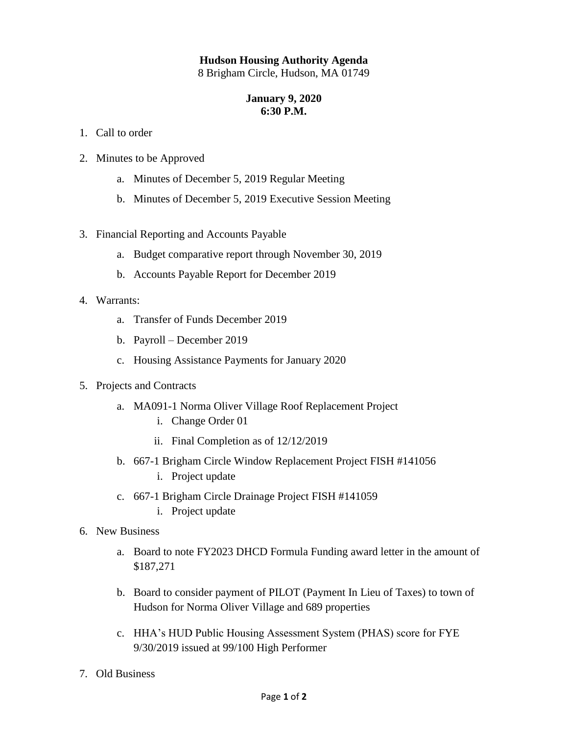## **Hudson Housing Authority Agenda**

8 Brigham Circle, Hudson, MA 01749

## **January 9, 2020 6:30 P.M.**

- 1. Call to order
- 2. Minutes to be Approved
	- a. Minutes of December 5, 2019 Regular Meeting
	- b. Minutes of December 5, 2019 Executive Session Meeting
- 3. Financial Reporting and Accounts Payable
	- a. Budget comparative report through November 30, 2019
	- b. Accounts Payable Report for December 2019
- 4. Warrants:
	- a. Transfer of Funds December 2019
	- b. Payroll December 2019
	- c. Housing Assistance Payments for January 2020
- 5. Projects and Contracts
	- a. MA091-1 Norma Oliver Village Roof Replacement Project
		- i. Change Order 01
		- ii. Final Completion as of 12/12/2019
	- b. 667-1 Brigham Circle Window Replacement Project FISH #141056
		- i. Project update
	- c. 667-1 Brigham Circle Drainage Project FISH #141059
		- i. Project update
- 6. New Business
	- a. Board to note FY2023 DHCD Formula Funding award letter in the amount of \$187,271
	- b. Board to consider payment of PILOT (Payment In Lieu of Taxes) to town of Hudson for Norma Oliver Village and 689 properties
	- c. HHA's HUD Public Housing Assessment System (PHAS) score for FYE 9/30/2019 issued at 99/100 High Performer
- 7. Old Business